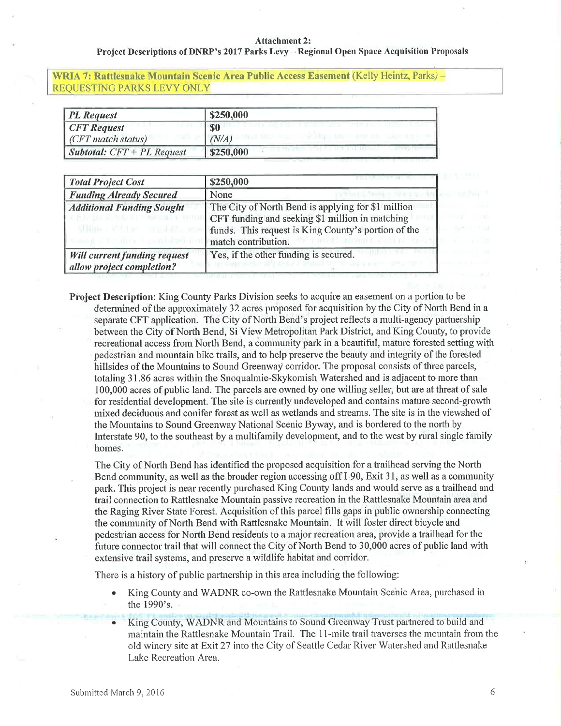# Project Descriptions of DNRP's 2017 Parks Levy - Regional Open Space Acquisition Proposals

# WRIA 7: Rattlesnake Mountain Scenic Area Public Access Easement (Kelly Heintz, Parks) -REQUESTING PARKS LEVY ONLY

| <b>PL</b> Request                   | \$250,000 |
|-------------------------------------|-----------|
| $CFT$ Request                       | \$0       |
| $CFT$ match status)                 | (N/A)     |
| <i>Subtotal:</i> $CFT + PL$ Request | \$250,000 |

| <b>Total Project Cost</b>                                        | \$250,000                                                                                                                                                                           |
|------------------------------------------------------------------|-------------------------------------------------------------------------------------------------------------------------------------------------------------------------------------|
| <b>Funding Already Secured</b>                                   | None                                                                                                                                                                                |
| <b>Additional Funding Sought</b>                                 | The City of North Bend is applying for \$1 million<br>CFT funding and seeking \$1 million in matching<br>funds. This request is King County's portion of the<br>match contribution. |
| <b>Will current funding request</b><br>allow project completion? | Yes, if the other funding is secured.                                                                                                                                               |

Project Description: King County Parks Division seeks to acquire an easement on a portion to be determined of the approximately 32 acres proposed for acquisition by the City of North Bend in a separate CFT application. The City of North Bend's project reflects a multi-agency partnership between the City of North Bend, Si View Metropolitan Park District, and King County, to provide recreational access from North Bend, a community park in a beautiful, mature forested setting with pedestrian and mountain bike trails, and to help preserve the beauty and integrity of the forested hillsides of the Mountains to Sound Greenway corridor. The proposal consists of three parcels, totaling 31.86 acres within the Snoqualmie-Skykomish Watershed and is adjacent to more than 100,000 acres of public land. The parcels are owned by one willing seller, but are at threat of sale for residential development. The site is currently undeveloped and contains mature second-growth mixed deciduous and conifer forest as well as wetlands and streams. The site is in the viewshed of the Mountains to Sound Greenway National Scenic Byway, and is bordered to the north by Interstate 90, to the southeast by a multifamily development, and to the west by rural single family homes.

The City of North Bend has identified the proposed acquisition for a trailhead serving the North Bend community, as well as the broader region accessing off  $I-90$ , Exit 31, as well as a community park. This project is near recently purchased King County lands and would serve as a trailhead and trail connection to Rattlesnake Mountain passive recreation in the Rattlesnake Mountain area and the Raging River State Forest. Acquisition of this parcel fills gaps in public ownership connecting the community of North Bend with Rattlesnake Mountain. It will foster direct bicycle and pedestrian access for North Bend residents to a major recreation area, provide a trailhead for the future connector trail that will connect the City of North Bend to 30,000 acres of public land with extensive trail systems, and preserve a wildlife habitat and corridor.

There is a history of public partnership in this area including the following:

- . King County and WADNR co-own the Rattlesnake Mountain Scehic Area, purchased in the 1990's.
- King County, WADNR and Mountains to Sound Greenway Trust partnered to build and maintain the Rattlesnake Mountain Trail. The 11-mile trail traverses the mountain from the old winery site at Exit 27 into the City of Seattle Cedar River Watershed and Rattlesnake Lake Recreation Area.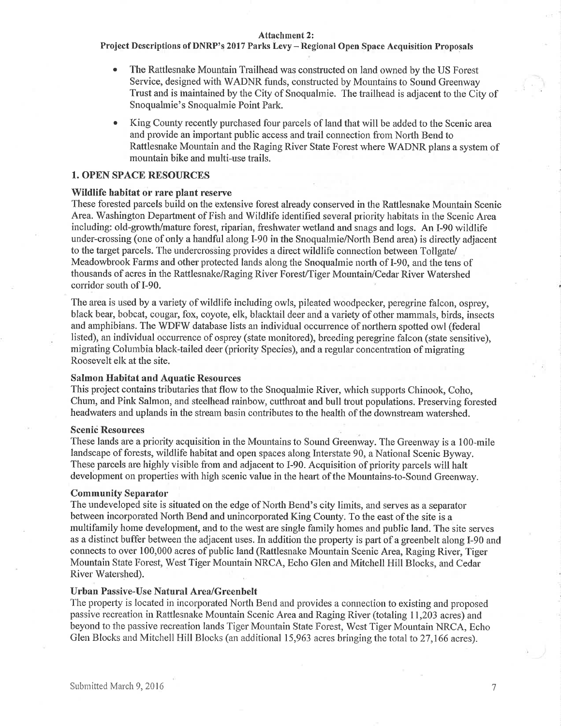Project Descriptions of DNRP's 2017 Parks Levy - Regional Open Space Acquisition Proposals

- The Rattlesnake Mountain Trailhead was constructed on land owned by the US Forest Service, designed with WADNR funds, constructed by Mountains to Sound Greenway Trust and is inaintained by the City of Snoqualmie. The trailhead is adjacent to the City of Snoqualmie's Snoqualmie Point Park.
- King County recently purchased four parcels of land that will be added to the Scenic area and provide an important public access and trail connection from North Bend to Rattlesnake Mountain and the Raging River State Forest where WADNR plans a system of mountain bike and multi-use trails.

## 1. OPEN SPACE RESOURCES

## Wildlife habitat or rare plant reserve

These forested parcels build on the extensive forest already conserved in the Rattlesnake Mountain Scenic Area. Washington Department of Fish and Wildlife identified several priority habitats in the Scenic Area including: old-growth/mature forest, riparian, freshwater wetland and snags and logs. An I-90 wildlife under-crossing (one of only a handful along I-90 in the Snoqualmie/North Bend area) is directly adjacent to the target parcels. The undercrossing provides a direct wildlife connection between Tollgate Meadowbrook Farms and other protected lands along the Snoqualmie north of I-90, and the tens of thousands of acres in the Rattlesnake/Raging Rivet Forest/Tiger Mountain/Cedar River Watershed coridor south of I-90.

The area is used by a variety of wildlife including owls, pileated woodpecker, peregrine falcon, osprey, black bear, bobcat, cougar, fox, coyote, elk, blacktail deer and a variety of other mammals, birds, insects and amphibians. The WDFW database lists an individual occurrence of northern spotted owl (federal listed), an individual occurrence of osprey (state monitored), breeding peregrine falcon (state sensitive), migrating Columbia black-tailed deer (priority Species), and a regular concentration of migrating Roosevelt elk at the site.

#### Salmon Ifabitat and Aquatic Resources

This project contains tributaries that flow to the Snoqualmie River, which supports Chinook, Coho, Chum, and Pink Salmon, and steelhead rainbow, cutthroat and bull trout populations. Preserving forested headwaters and uplands in the stream basin contributes to the health of the downstream watershed.

# **Scenic Resources**

These lands are a priority acquisition in the Mountains to Sound Greenway. The Greenway is a 100-mile landscape of forests, wildlife habitat and open spaces along Interstate 90, a National Scenic Byway. These parcels are highly visible from and adjacent to I-90. Acquisition of priority parcels will halt development on properties with high scenic value in the heart of the Mountains-to-Sound Greenway.

#### Community Separator

The undeveloped site is situated on the edge of North Bend's city limits, and serves as a separator between incorporated North Bend and unincorporated King County. To the east of the site is a multifamily home development, and to the west are single family homes and public land. The site serves as a distinct buffer between the adjacent uses. In addition the property is part of a greenbelt along I-90 and sonnects to over 100,000 acres of public land (Rattlesnake Mountain Scenic Area, Raging River, Tiger Mountain State Forest, West Tiger Mountain NRCA, Echo Glen and Mitchell Hill Blocks, and Cedar River Watershed).

#### Urban Passive-Use Natural Area/Greenbelt

The property is located in incorporated North Bend and provides a connection to existing and proposed passive recreation in Rattlesnake Mountain Scenic Area and Raging River (totaling 11,203 acres) and beyond to the passive recreation lands Tiger Mountain State Forest, West Tiger Mountain NRCA, Echo Glen Blocks and Mitchell Hill Blocks (an additional 15,963 acres bringing the total to 27,166 acres).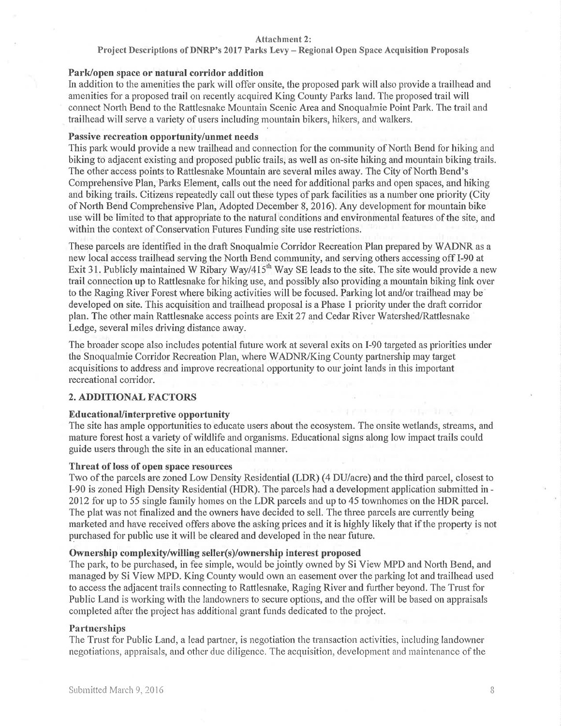# Project Descriptions of DNRP's 2017 Parks Levy - Regional Open Space Acquisition Proposals

# Park/open space or natural corridor addition

In addition to the amenities the park will offer onsite, the proposed park will also provide a trailhead and amenities for a proposed trail on recently acquired King County Parks land. The proposed trail will connect North Bend to the Rattlesnake Mountain Scenic Area and Snoquahnie Point Park. The trail and trailhead will serve a variety of users including mountain bikers, hikers, and walkers.

# Passive recreation opportunity/unmet needs

This park would provide a new trailhead and connection for the community of North Bend for hiking and biking to adjacent existing and proposed public trails, as well as on-site hiking and mountain biking trails. The other access points to Rattlesnake Mountain are several miles away. The City of North Bend's Comprehensive Plan, Parks Element, calls out the need for additional parks and open spaces, and hiking and biking trails. Citizens repeatedly call out these types of park facilities as a number one priority (City of North Bend Comprehensive Plan, Adopted December 8, 2016). Any development for mountain bike use will be limited to that appropriate to the natural conditions and environmental features of the site, and within the context of Conservation Futures Funding site use restrictions.

These parcels are identified in the draft Snoqualmie Corridor Recreation Plan prepared by WADNR as a new local access trailhead serving the North Bend community, and serving others accessing off I-90 at Exit 31. Publicly maintained W Ribary Way/415<sup>th</sup> Way SE leads to the site. The site would provide a new trail connection up to Rattlesnake for hiking use, and possibly also providing a mountain biking link over' to the Raging River Forest where biking activities will be focused. Parking lot and/or trailhead may be developed on site. This acquisition and trailhead proposal is a Phase 1 priority under the draft corridor plan. The other main Rattlesnake access points are Exit 27 and Cedar River Watershed/Rattlesnake Ledge, several miles driving distance away.

The broader scope also includes potential future work at several exits on I-90 targeted as priorities under the Snoqualmie Corridor Recreation Plan, where WADNWKing County partnership may target acquisitions to address and improve recreational opportunity to our joint lands in this important recreational corridor.

# 2. ADDITIONAL FACTORS

#### Educational/interpretive opportunity

The site has ample opportunities to educate users about the ecosystem. The onsite wetlands, streams, and mature forest host a variety of wildlife and organisms. Educational signs along low impact trails could guide users through the site in an educational manner.

# Threat of loss of open space resources

Two of the parcels are zoned Low Density Residential (LDR) (4 DU/acre) and the third parcel, closest to I-90 is zoned High Density Residential (fDR). The parcels had a development application subrnitted in - 2012 for up to 55 single farnily homes on the LDR parcels and up to 45 townhomes on the HDR parcel. The plat was not finalized and the owners have decided to sell. The three parcels are currently being marketed and have received offers above the asking prices and it is highly likely that if the property is not purchased for public use it will be cleared and developed in the near future.

# Ownership complexity/willing seller(s)/ownership interest proposed

The park, to be purchased, in fee sirnple, would be jointly owned by Si View MPD and North Bend, and managed by Si View MPD. King County would own an easement over the parking lot and trailhead used to access the adjacent trails connecting to Rattlesnake, Raging River and further beyond. The Trust for Public Land is working with the landowners to secure options, and the offer will be based on appraisals completed after the project has additional grant funds dedicated to the project.

#### **Partnerships**

The Trust for Public Land, a lead partner, is negotiation the transaction activities, including landowner negotiations, appraisals, and other due diligence. The acquisition, developrnent and maintenance of the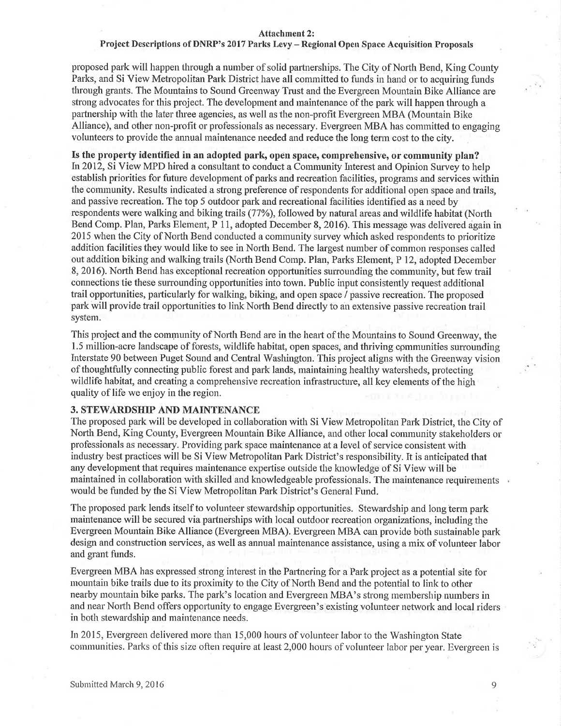#### Project Descriptions of DNRP's 2017 Parks Levy - Regional Open Space Acquisition Proposals

proposed park will happen through a number of solid partnerships. The City of North Bend, King County Parks, and Si View Metropolitan Park District have all committed to funds in hand or to acquiring funds through grants. The Mountains to Sound Greenway Trust and the Evergreen Mountain Bike Alliance are strong advocates for this project. The development and maintenance of the park will happen through a partnership with the later three agencies, as well as the non-profit Evergreen MBA (Mountain Bike Alliance), and other non-profit or professionals as necessary. Evergreen MBA has committed to engaging volunteers to provide the annual maintenance needed and reduce the long tenn cost to the city.

Is the property identified in an adopted park, open space, comprehensive, or community plan? In2012, Si View MPD hired a consultant to conduct a Community Interest and Opinion Survey to help establish priorities for future development of parks and recreation facilities, programs and services within the community. Results indicated a strong preference of respondents for additional open space and trails, and passive recreation. The top 5 outdoor park and recreational facilities identified as a need by respondents were walking and biking trails (77%), followed by natural areas and wildlife habitat (North Bend Comp. Plan, Parks Element, P 11, adopted December 8, 2016). This message was delivered again in 2015 when the City of North Bend conducted a community survey which asked respondents to prioritize addition facilities they would like to see in North Bend. The largest number of common responses called out addition biking and walking trails (North Bend Comp. Plan, Parks Element, P 12, adopted December 8, 2016). North Bend has exceptional recreation opportunities surrounding the community, but few trail connections tie these surrounding opportunities into town. Public input consistently request additional trail opportunities, particularly for walking, biking, and open space / passive recreation. The proposed park will provide trail opportunities to link North Bend directly to an extensive passive recreation trail system.

This project and the community of North Bend are in the heart of the Mountains to Sound Greenway, the 1.5 million-acre landscape of forests, wildlife habitat, open spaces, and thriving communities surrounding Interstate 90 between Puget Sound and Central Washington. This project aligns with the Greenway vision of thoughtfully connecting public forest and park lands, maintaining healthy watersheds, protecting wildlife habitat, and creating a comprehensive recreation infrastructure, all key elements of the high quality of life we enjoy in the region.

# 3. STEWARDSHIP AND MAINTENANCE

The proposed park will be developed in collaboration with Si View Metropolitan Park District, the City of North Bend, King County, Evergreen Mountain Bike Alliance, and other local community stakeholders or professionals as necessary. Providing park space maintenance at a level of sen'ice consistent with industry best practices will be Si View Metropolitan Park District's responsibility. It is anticipated that any development that requires maintenance expertise outside the knowledge of Si View will be maintained in collaboration with skilled and knowledgeable professionals. The rnaintenance requirements would be funded by the Si View Metropolitan Park District's General Fund.

The proposed park lends itself to volunteer stewardship opportunities. Stewardship and long term park maintenance will be secured via partnerships with local outdoor recreation organizations, including the Evergreen Mountain Bike Alliance (Evergreen MBA). Evergreen MBA can provide bôth sustainable park design and construction services, as well as annual maintenance assistance, using a mix of volunteer labor and grant funds.

Evergreen MBA has expressed strong interest in the Partnering for a Park project as a potential site for mountain bike trails due to its proximity to the City of North Bend and the potential to link to other nearby mountain bike parks. The park's location and Evergreen MBA's strong membership numbers in and near North Bend offers opportunity to engage Evergreen's existing volunteer network and local riders in both stewardship and maintenance needs.

In 2015, Evergreen delivered more than 15,000 hours of volunteer labor to the Washington State communities. Parks of this size often require at least 2,000 hours of volunteer labor per year. Evergreen is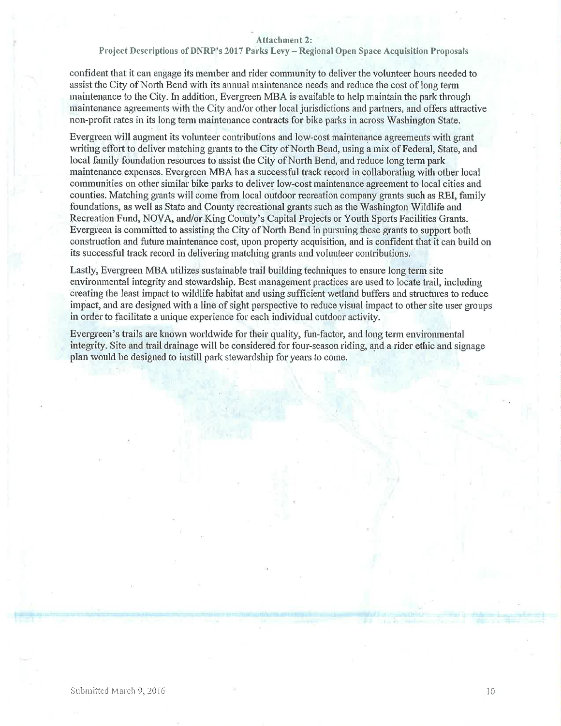Project Descriptions of DNRP's 2017 Parks Levy - Regional Open Space Acquisition Proposals

confident that it can engage its member and rider community to deliver the volunteer hours needed to assist the City of North Bend with its annual maintenance needs and rcduce the cost of long term maintenance to the City. In addition, Evergreen MBA is available to help maintain the park through maintenance agreements with the City and/or other local jurisdictions and partners, and offers attractive non-profit rates in its long term maintenance contracts for bike parks in across Washington State.

Evergreen will augment its volunteer contributions and low-cost maintenance agreements with grant writing effort to deliver matching grants to the City of North Bend, using a mix of Federal, State, and local family foundation resources to assist the City of North Bend, and reduce long term park maintenance expenses. Evergreen MBA has a successful track record in collaborating with other local communities on other sirnilar bike patks to deliver low-cost maintenance agreement to local cities and counties. Matching grants will come from local outdoor recreation company grants such as REI, family foundations, as well as State and County recreational grants such as the Washington Wildlife and Recreation Fund, NOVA, and/or King County's Capital Projects or Youth Sports Facilities Grants. Evergreen is committed to assisting the City of North Bend in pursuing these grants to support both construction and future maintenance cost, upon property acquisition, and is confident that it can build on its successful track record in delivering matching grants and volunteer contributions.

Lastly, Evergreen MBA utilizes sustainable trail building techniques to ensure long terrn site environmental integrity and stewardship. Best management practices are used to locate trail, including creating the least impact to wildlife habitat and using sufficient wetland buffers and structures to reduce impact, and are designed with a line of sight perspective to reduce visual impact to other site user groups in order to facilitate a unique experience for each individual outdoor activity.

Evergreen's trails are known worldwide for their quality, fun-factor, and long tenn enviromnental integrity. Site and trail drainage will be considered for four-season riding, and a rider ethic and signage plan would be designed to instill park stewardship for years to come.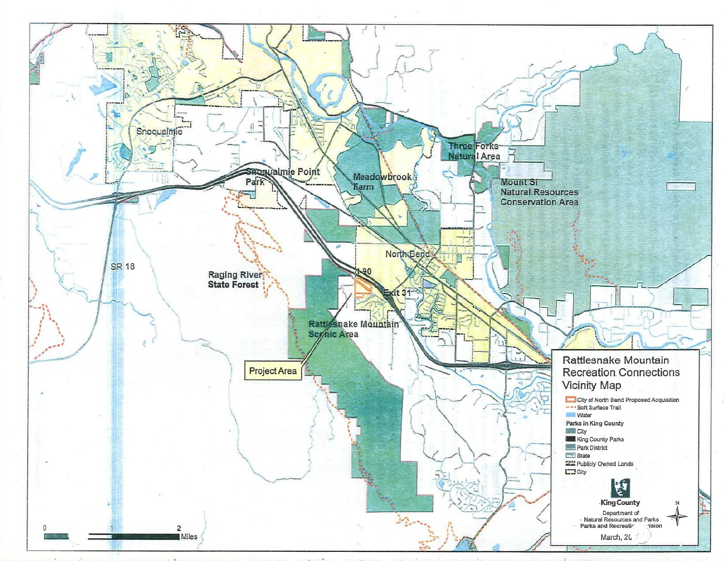